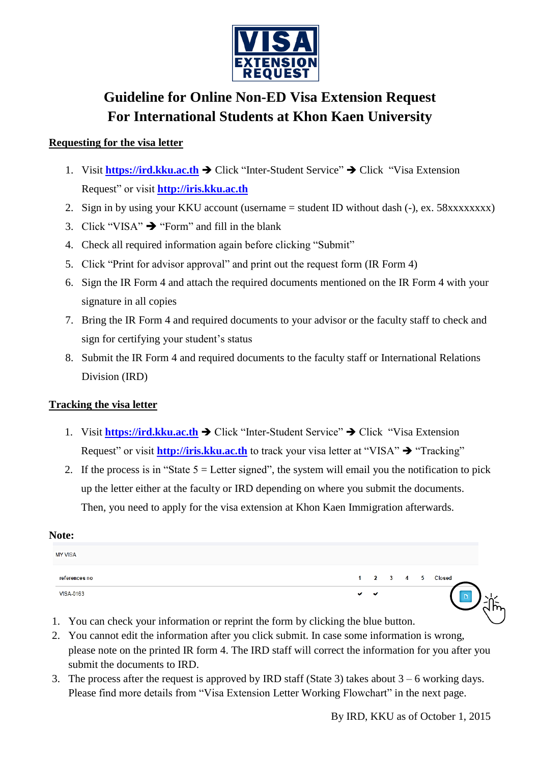

## **Guideline for Online Non-ED Visa Extension Request For International Students at Khon Kaen University**

### **Requesting for the visa letter**

- 1. Visit **[https://ird.kku.ac.th](https://ird.kku.ac.th/) →** Click "Inter-Student Service" → Click "Visa Extension Request" or visit **[http://iris.kku.ac.th](http://iris.kku.ac.th/)**
- 2. Sign in by using your KKU account (username = student ID without dash (-), ex. 58xxxxxxxxx)
- 3. Click "VISA"  $\rightarrow$  "Form" and fill in the blank
- 4. Check all required information again before clicking "Submit"
- 5. Click "Print for advisor approval" and print out the request form (IR Form 4)
- 6. Sign the IR Form 4 and attach the required documents mentioned on the IR Form 4 with your signature in all copies
- 7. Bring the IR Form 4 and required documents to your advisor or the faculty staff to check and sign for certifying your student's status
- 8. Submit the IR Form 4 and required documents to the faculty staff or International Relations Division (IRD)

#### **Tracking the visa letter**

- 1. Visit **[https://ird.kku.ac.th](https://ird.kku.ac.th/) →** Click "Inter-Student Service" → Click "Visa Extension Request" or visit **[http://iris.kku.ac.th](http://iris.kku.ac.th/)** to track your visa letter at "VISA" → "Tracking"
- 2. If the process is in "State  $5 =$  Letter signed", the system will email you the notification to pick up the letter either at the faculty or IRD depending on where you submit the documents. Then, you need to apply for the visa extension at Khon Kaen Immigration afterwards.

#### **Note:**

| <b>MY VISA</b> |         |   |  |                  |
|----------------|---------|---|--|------------------|
| references no  |         |   |  | 1 2 3 4 5 Closed |
| VISA-0163      | $\cdot$ | ╰ |  | ш                |

- 1. You can check your information or reprint the form by clicking the blue button.
- 2. You cannot edit the information after you click submit. In case some information is wrong, please note on the printed IR form 4. The IRD staff will correct the information for you after you submit the documents to IRD.
- 3. The process after the request is approved by IRD staff (State 3) takes about  $3 6$  working days. Please find more details from "Visa Extension Letter Working Flowchart" in the next page.